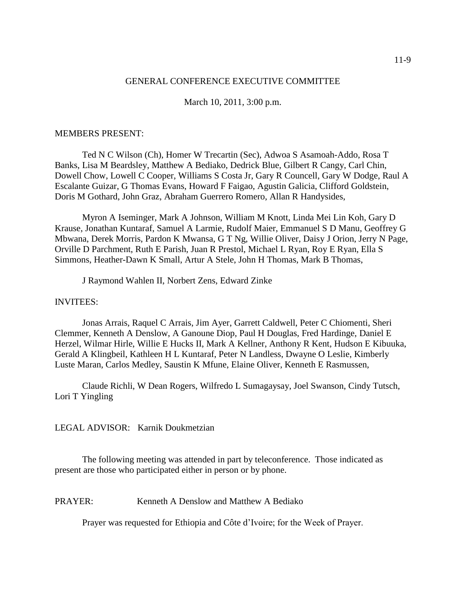### GENERAL CONFERENCE EXECUTIVE COMMITTEE

March 10, 2011, 3:00 p.m.

### MEMBERS PRESENT:

Ted N C Wilson (Ch), Homer W Trecartin (Sec), Adwoa S Asamoah-Addo, Rosa T Banks, Lisa M Beardsley, Matthew A Bediako, Dedrick Blue, Gilbert R Cangy, Carl Chin, Dowell Chow, Lowell C Cooper, Williams S Costa Jr, Gary R Councell, Gary W Dodge, Raul A Escalante Guizar, G Thomas Evans, Howard F Faigao, Agustin Galicia, Clifford Goldstein, Doris M Gothard, John Graz, Abraham Guerrero Romero, Allan R Handysides,

Myron A Iseminger, Mark A Johnson, William M Knott, Linda Mei Lin Koh, Gary D Krause, Jonathan Kuntaraf, Samuel A Larmie, Rudolf Maier, Emmanuel S D Manu, Geoffrey G Mbwana, Derek Morris, Pardon K Mwansa, G T Ng, Willie Oliver, Daisy J Orion, Jerry N Page, Orville D Parchment, Ruth E Parish, Juan R Prestol, Michael L Ryan, Roy E Ryan, Ella S Simmons, Heather-Dawn K Small, Artur A Stele, John H Thomas, Mark B Thomas,

J Raymond Wahlen II, Norbert Zens, Edward Zinke

### INVITEES:

Jonas Arrais, Raquel C Arrais, Jim Ayer, Garrett Caldwell, Peter C Chiomenti, Sheri Clemmer, Kenneth A Denslow, A Ganoune Diop, Paul H Douglas, Fred Hardinge, Daniel E Herzel, Wilmar Hirle, Willie E Hucks II, Mark A Kellner, Anthony R Kent, Hudson E Kibuuka, Gerald A Klingbeil, Kathleen H L Kuntaraf, Peter N Landless, Dwayne O Leslie, Kimberly Luste Maran, Carlos Medley, Saustin K Mfune, Elaine Oliver, Kenneth E Rasmussen,

Claude Richli, W Dean Rogers, Wilfredo L Sumagaysay, Joel Swanson, Cindy Tutsch, Lori T Yingling

# LEGAL ADVISOR: Karnik Doukmetzian

The following meeting was attended in part by teleconference. Those indicated as present are those who participated either in person or by phone.

PRAYER: Kenneth A Denslow and Matthew A Bediako

Prayer was requested for Ethiopia and Côte d'Ivoire; for the Week of Prayer.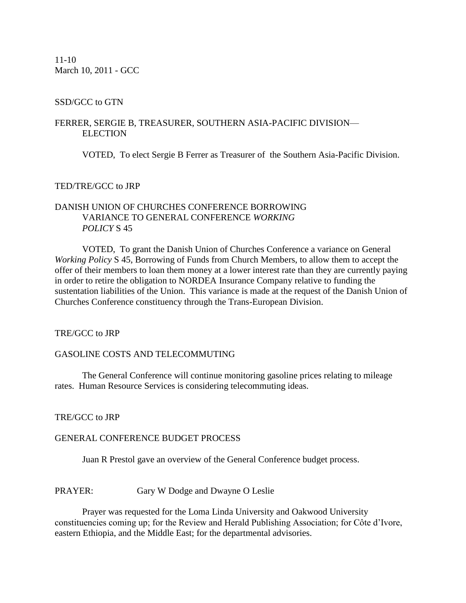11-10 March 10, 2011 - GCC

# SSD/GCC to GTN

## FERRER, SERGIE B, TREASURER, SOUTHERN ASIA-PACIFIC DIVISION— ELECTION

VOTED, To elect Sergie B Ferrer as Treasurer of the Southern Asia-Pacific Division.

# TED/TRE/GCC to JRP

# DANISH UNION OF CHURCHES CONFERENCE BORROWING VARIANCE TO GENERAL CONFERENCE *WORKING POLICY* S 45

VOTED, To grant the Danish Union of Churches Conference a variance on General *Working Policy* S 45, Borrowing of Funds from Church Members, to allow them to accept the offer of their members to loan them money at a lower interest rate than they are currently paying in order to retire the obligation to NORDEA Insurance Company relative to funding the sustentation liabilities of the Union. This variance is made at the request of the Danish Union of Churches Conference constituency through the Trans-European Division.

TRE/GCC to JRP

# GASOLINE COSTS AND TELECOMMUTING

The General Conference will continue monitoring gasoline prices relating to mileage rates. Human Resource Services is considering telecommuting ideas.

TRE/GCC to JRP

## GENERAL CONFERENCE BUDGET PROCESS

Juan R Prestol gave an overview of the General Conference budget process.

PRAYER: Gary W Dodge and Dwayne O Leslie

Prayer was requested for the Loma Linda University and Oakwood University constituencies coming up; for the Review and Herald Publishing Association; for Côte d'Ivore, eastern Ethiopia, and the Middle East; for the departmental advisories.